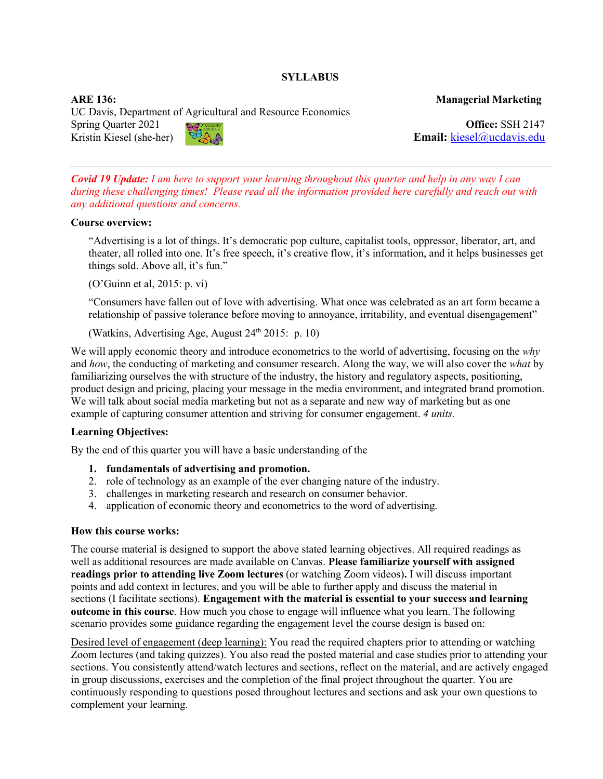# **SYLLABUS**

**ARE 136: Managerial Marketing** UC Davis, Department of Agricultural and Resource Economics **Spring Quarter 2021 Constant Constant Constant Constant Constant Constant Constant Constant Constant Constant Constant Constant Constant Constant Constant Constant Constant Constant Constant Constant Constant Constant C** Kristin Kiesel (she-her) **Email:** [kiesel@ucdavis.edu](mailto:kiesel@ucdavis.edu)

*Covid 19 Update: I am here to support your learning throughout this quarter and help in any way I can during these challenging times! Please read all the information provided here carefully and reach out with any additional questions and concerns.*

# **Course overview:**

"Advertising is a lot of things. It's democratic pop culture, capitalist tools, oppressor, liberator, art, and theater, all rolled into one. It's free speech, it's creative flow, it's information, and it helps businesses get things sold. Above all, it's fun."

(O'Guinn et al, 2015: p. vi)

"Consumers have fallen out of love with advertising. What once was celebrated as an art form became a relationship of passive tolerance before moving to annoyance, irritability, and eventual disengagement"

(Watkins, Advertising Age, August  $24<sup>th</sup> 2015$ : p. 10)

We will apply economic theory and introduce econometrics to the world of advertising, focusing on the *why* and *how*, the conducting of marketing and consumer research. Along the way, we will also cover the *what* by familiarizing ourselves the with structure of the industry, the history and regulatory aspects, positioning, product design and pricing, placing your message in the media environment, and integrated brand promotion. We will talk about social media marketing but not as a separate and new way of marketing but as one example of capturing consumer attention and striving for consumer engagement. *4 units.*

# **Learning Objectives:**

By the end of this quarter you will have a basic understanding of the

- **1. fundamentals of advertising and promotion.**
- 2. role of technology as an example of the ever changing nature of the industry.
- 3. challenges in marketing research and research on consumer behavior.
- 4. application of economic theory and econometrics to the word of advertising.

## **How this course works:**

The course material is designed to support the above stated learning objectives. All required readings as well as additional resources are made available on Canvas. **Please familiarize yourself with assigned readings prior to attending live Zoom lectures** (or watching Zoom videos)**.** I will discuss important points and add context in lectures, and you will be able to further apply and discuss the material in sections (I facilitate sections). **Engagement with the material is essential to your success and learning outcome in this course**. How much you chose to engage will influence what you learn. The following scenario provides some guidance regarding the engagement level the course design is based on:

Desired level of engagement (deep learning): You read the required chapters prior to attending or watching Zoom lectures (and taking quizzes). You also read the posted material and case studies prior to attending your sections. You consistently attend/watch lectures and sections, reflect on the material, and are actively engaged in group discussions, exercises and the completion of the final project throughout the quarter. You are continuously responding to questions posed throughout lectures and sections and ask your own questions to complement your learning.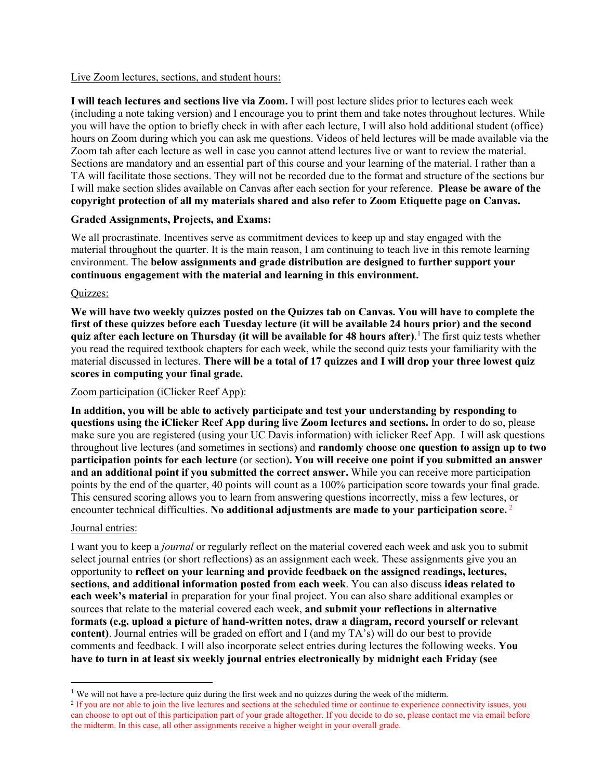# Live Zoom lectures, sections, and student hours:

**I will teach lectures and sections live via Zoom.** I will post lecture slides prior to lectures each week (including a note taking version) and I encourage you to print them and take notes throughout lectures. While you will have the option to briefly check in with after each lecture, I will also hold additional student (office) hours on Zoom during which you can ask me questions. Videos of held lectures will be made available via the Zoom tab after each lecture as well in case you cannot attend lectures live or want to review the material. Sections are mandatory and an essential part of this course and your learning of the material. I rather than a TA will facilitate those sections. They will not be recorded due to the format and structure of the sections bur I will make section slides available on Canvas after each section for your reference. **Please be aware of the copyright protection of all my materials shared and also refer to Zoom Etiquette page on Canvas.** 

# **Graded Assignments, Projects, and Exams:**

We all procrastinate. Incentives serve as commitment devices to keep up and stay engaged with the material throughout the quarter. It is the main reason, I am continuing to teach live in this remote learning environment. The **below assignments and grade distribution are designed to further support your continuous engagement with the material and learning in this environment.**

## Quizzes:

**We will have two weekly quizzes posted on the Quizzes tab on Canvas. You will have to complete the first of these quizzes before each Tuesday lecture (it will be available 24 hours prior) and the second quiz after each lecture on Thursday (it will be available for 48 hours after)**. [1](#page-1-0)The first quiz tests whether you read the required textbook chapters for each week, while the second quiz tests your familiarity with the material discussed in lectures. **There will be a total of 17 quizzes and I will drop your three lowest quiz scores in computing your final grade.**

## Zoom participation (iClicker Reef App):

**In addition, you will be able to actively participate and test your understanding by responding to questions using the iClicker Reef App during live Zoom lectures and sections.** In order to do so, please make sure you are registered (using your UC Davis information) with iclicker Reef App. I will ask questions throughout live lectures (and sometimes in sections) and **randomly choose one question to assign up to two participation points for each lecture** (or section)**. You will receive one point if you submitted an answer and an additional point if you submitted the correct answer.** While you can receive more participation points by the end of the quarter, 40 points will count as a 100% participation score towards your final grade. This censured scoring allows you to learn from answering questions incorrectly, miss a few lectures, or encounter technical difficulties. **No additional adjustments are made to your participation score.** [2](#page-1-1)

## Journal entries:

I want you to keep a *journal* or regularly reflect on the material covered each week and ask you to submit select journal entries (or short reflections) as an assignment each week. These assignments give you an opportunity to **reflect on your learning and provide feedback on the assigned readings, lectures, sections, and additional information posted from each week**. You can also discuss **ideas related to each week's material** in preparation for your final project. You can also share additional examples or sources that relate to the material covered each week, **and submit your reflections in alternative formats (e.g. upload a picture of hand-written notes, draw a diagram, record yourself or relevant content)**. Journal entries will be graded on effort and I (and my TA's) will do our best to provide comments and feedback. I will also incorporate select entries during lectures the following weeks. **You have to turn in at least six weekly journal entries electronically by midnight each Friday (see** 

<span id="page-1-0"></span><sup>&</sup>lt;sup>1</sup> We will not have a pre-lecture quiz during the first week and no quizzes during the week of the midterm.

<span id="page-1-1"></span><sup>&</sup>lt;sup>2</sup> If you are not able to join the live lectures and sections at the scheduled time or continue to experience connectivity issues, you can choose to opt out of this participation part of your grade altogether. If you decide to do so, please contact me via email before the midterm. In this case, all other assignments receive a higher weight in your overall grade.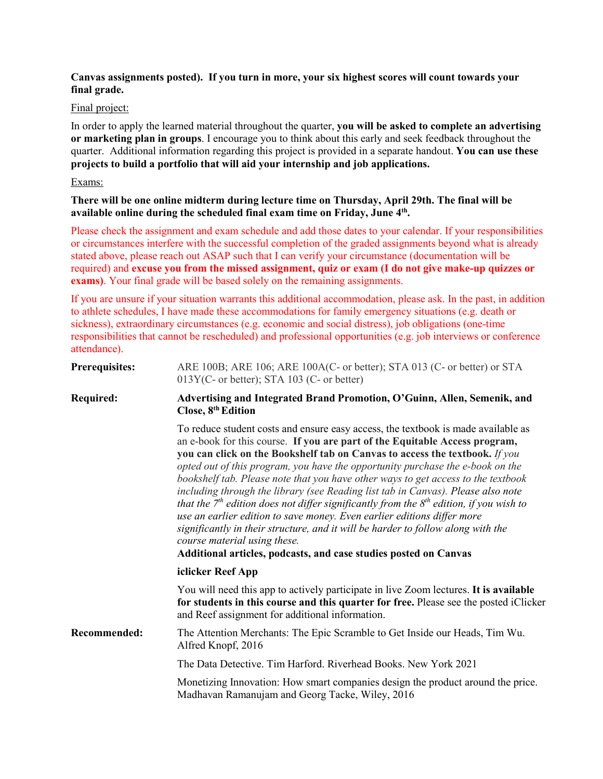# **Canvas assignments posted). If you turn in more, your six highest scores will count towards your final grade.**

# Final project:

In order to apply the learned material throughout the quarter, **you will be asked to complete an advertising or marketing plan in groups**. I encourage you to think about this early and seek feedback throughout the quarter. Additional information regarding this project is provided in a separate handout. **You can use these projects to build a portfolio that will aid your internship and job applications.**

# Exams:

# **There will be one online midterm during lecture time on Thursday, April 29th. The final will be available online during the scheduled final exam time on Friday, June 4th.**

Please check the assignment and exam schedule and add those dates to your calendar. If your responsibilities or circumstances interfere with the successful completion of the graded assignments beyond what is already stated above, please reach out ASAP such that I can verify your circumstance (documentation will be required) and **excuse you from the missed assignment, quiz or exam (I do not give make-up quizzes or exams)**. Your final grade will be based solely on the remaining assignments.

If you are unsure if your situation warrants this additional accommodation, please ask. In the past, in addition to athlete schedules, I have made these accommodations for family emergency situations (e.g. death or sickness), extraordinary circumstances (e.g. economic and social distress), job obligations (one-time responsibilities that cannot be rescheduled) and professional opportunities (e.g. job interviews or conference attendance).

| <b>Prerequisites:</b> | ARE 100B; ARE 106; ARE 100A(C- or better); STA 013 (C- or better) or STA<br>$013Y(C-$ or better); STA 103 (C- or better)                                                                                                                                                                                                                                                                                                                                                                                                                                                                                                                                                                                                                                                                                                                                                     |  |  |
|-----------------------|------------------------------------------------------------------------------------------------------------------------------------------------------------------------------------------------------------------------------------------------------------------------------------------------------------------------------------------------------------------------------------------------------------------------------------------------------------------------------------------------------------------------------------------------------------------------------------------------------------------------------------------------------------------------------------------------------------------------------------------------------------------------------------------------------------------------------------------------------------------------------|--|--|
| <b>Required:</b>      | Advertising and Integrated Brand Promotion, O'Guinn, Allen, Semenik, and<br>Close, 8 <sup>th</sup> Edition                                                                                                                                                                                                                                                                                                                                                                                                                                                                                                                                                                                                                                                                                                                                                                   |  |  |
|                       | To reduce student costs and ensure easy access, the textbook is made available as<br>an e-book for this course. If you are part of the Equitable Access program,<br>you can click on the Bookshelf tab on Canvas to access the textbook. If you<br>opted out of this program, you have the opportunity purchase the e-book on the<br>bookshelf tab. Please note that you have other ways to get access to the textbook<br>including through the library (see Reading list tab in Canvas). Please also note<br>that the $7th$ edition does not differ significantly from the $8th$ edition, if you wish to<br>use an earlier edition to save money. Even earlier editions differ more<br>significantly in their structure, and it will be harder to follow along with the<br>course material using these.<br>Additional articles, podcasts, and case studies posted on Canvas |  |  |
|                       | iclicker Reef App                                                                                                                                                                                                                                                                                                                                                                                                                                                                                                                                                                                                                                                                                                                                                                                                                                                            |  |  |
|                       | You will need this app to actively participate in live Zoom lectures. It is available<br>for students in this course and this quarter for free. Please see the posted iClicker<br>and Reef assignment for additional information.                                                                                                                                                                                                                                                                                                                                                                                                                                                                                                                                                                                                                                            |  |  |
| <b>Recommended:</b>   | The Attention Merchants: The Epic Scramble to Get Inside our Heads, Tim Wu.<br>Alfred Knopf, 2016                                                                                                                                                                                                                                                                                                                                                                                                                                                                                                                                                                                                                                                                                                                                                                            |  |  |
|                       | The Data Detective. Tim Harford. Riverhead Books. New York 2021                                                                                                                                                                                                                                                                                                                                                                                                                                                                                                                                                                                                                                                                                                                                                                                                              |  |  |
|                       | Monetizing Innovation: How smart companies design the product around the price.<br>Madhavan Ramanujam and Georg Tacke, Wiley, 2016                                                                                                                                                                                                                                                                                                                                                                                                                                                                                                                                                                                                                                                                                                                                           |  |  |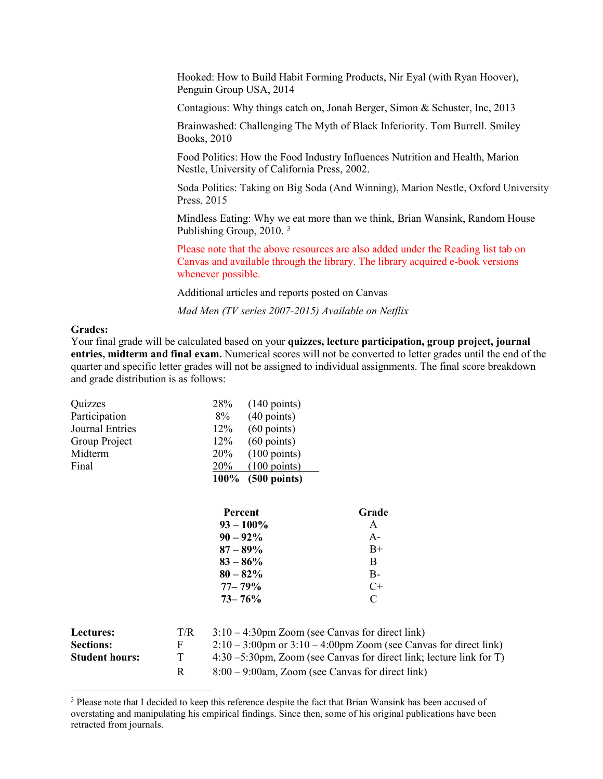Hooked: How to Build Habit Forming Products, Nir Eyal (with Ryan Hoover), Penguin Group USA, 2014

Contagious: Why things catch on, Jonah Berger, Simon & Schuster, Inc, 2013

Brainwashed: Challenging The Myth of Black Inferiority. Tom Burrell. Smiley Books, 2010

Food Politics: How the Food Industry Influences Nutrition and Health, Marion Nestle, University of California Press, 2002.

Soda Politics: Taking on Big Soda (And Winning), Marion Nestle, Oxford University Press, 2015

Mindless Eating: Why we eat more than we think, Brian Wansink, Random House Publishing Group, 2010.<sup>[3](#page-3-0)</sup>

Please note that the above resources are also added under the Reading list tab on Canvas and available through the library. The library acquired e-book versions whenever possible.

Additional articles and reports posted on Canvas

*Mad Men (TV series 2007-2015) Available on Netflix*

#### **Grades:**

 $\overline{a}$ 

Your final grade will be calculated based on your **quizzes, lecture participation, group project, journal entries, midterm and final exam.** Numerical scores will not be converted to letter grades until the end of the quarter and specific letter grades will not be assigned to individual assignments. The final score breakdown and grade distribution is as follows:

| Quizzes<br>Participation<br><b>Journal Entries</b><br>Group Project<br>Midterm |                  | 28%<br>$(140 \text{ points})$<br>8%<br>$(40 \text{ points})$<br>$(60 \text{ points})$<br>12%<br>$(60 \text{ points})$<br>12%<br>$(100 \text{ points})$<br>20% |                                                                     |
|--------------------------------------------------------------------------------|------------------|---------------------------------------------------------------------------------------------------------------------------------------------------------------|---------------------------------------------------------------------|
| Final                                                                          |                  | 20%<br>$(100 \text{ points})$<br>$100\%$<br>$(500 \text{ points})$                                                                                            |                                                                     |
|                                                                                |                  | Percent                                                                                                                                                       | Grade                                                               |
|                                                                                |                  | $93 - 100\%$                                                                                                                                                  | A                                                                   |
|                                                                                |                  | $90 - 92\%$                                                                                                                                                   | $A-$                                                                |
|                                                                                |                  | $87 - 89\%$                                                                                                                                                   | $B+$                                                                |
|                                                                                |                  | $83 - 86\%$                                                                                                                                                   | B                                                                   |
|                                                                                |                  | $80 - 82\%$                                                                                                                                                   | $B-$                                                                |
|                                                                                |                  | $77 - 79\%$                                                                                                                                                   | $C+$                                                                |
|                                                                                |                  | $73 - 76\%$                                                                                                                                                   | $\mathcal{C}$                                                       |
| Lectures:                                                                      | T/R              |                                                                                                                                                               | $3:10-4:30$ pm Zoom (see Canvas for direct link)                    |
| <b>Sections:</b>                                                               | $\boldsymbol{F}$ | $2:10-3:00$ pm or $3:10-4:00$ pm Zoom (see Canvas for direct link)                                                                                            |                                                                     |
| <b>Student hours:</b>                                                          | T                |                                                                                                                                                               | 4:30 –5:30pm, Zoom (see Canvas for direct link; lecture link for T) |
|                                                                                | $\mathbf R$      |                                                                                                                                                               | $8:00 - 9:00$ am, Zoom (see Canvas for direct link)                 |

<span id="page-3-0"></span><sup>3</sup> Please note that I decided to keep this reference despite the fact that Brian Wansink has been accused of overstating and manipulating his empirical findings. Since then, some of his original publications have been retracted from journals.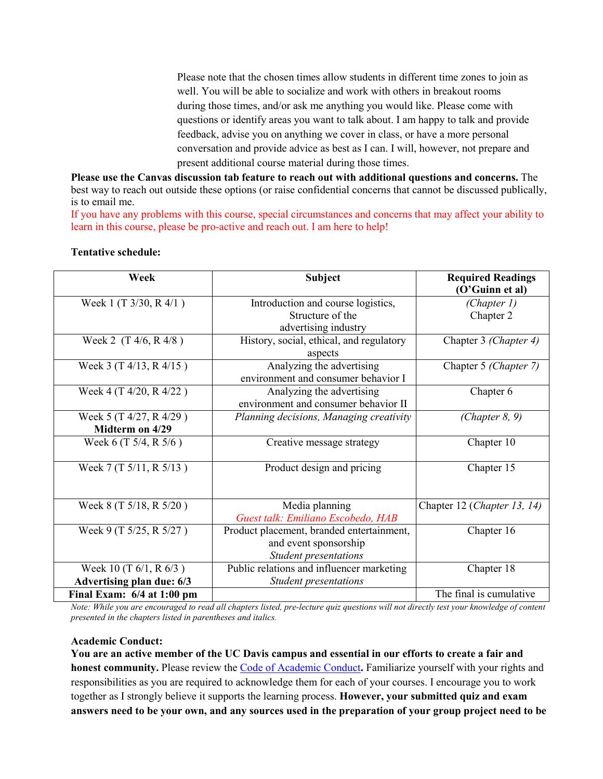Please note that the chosen times allow students in different time zones to join as well. You will be able to socialize and work with others in breakout rooms during those times, and/or ask me anything you would like. Please come with questions or identify areas you want to talk about. I am happy to talk and provide feedback, advise you on anything we cover in class, or have a more personal conversation and provide advice as best as I can. I will, however, not prepare and present additional course material during those times.

**Please use the Canvas discussion tab feature to reach out with additional questions and concerns.** The best way to reach out outside these options (or raise confidential concerns that cannot be discussed publically, is to email me.

If you have any problems with this course, special circumstances and concerns that may affect your ability to learn in this course, please be pro-active and reach out. I am here to help!

| Week                         | <b>Subject</b>                            | <b>Required Readings</b><br>(O'Guinn et al) |
|------------------------------|-------------------------------------------|---------------------------------------------|
| Week 1 (T $3/30$ , R $4/1$ ) | Introduction and course logistics,        | (Chapter 1)                                 |
|                              | Structure of the                          | Chapter 2                                   |
|                              | advertising industry                      |                                             |
| Week 2 $(T\,4/6, R\,4/8)$    | History, social, ethical, and regulatory  | Chapter 3 (Chapter 4)                       |
|                              | aspects                                   |                                             |
| Week 3 (T 4/13, R 4/15)      | Analyzing the advertising                 | Chapter 5 (Chapter 7)                       |
|                              | environment and consumer behavior I       |                                             |
| Week 4 (T 4/20, R 4/22)      | Analyzing the advertising                 | Chapter 6                                   |
|                              | environment and consumer behavior II      |                                             |
| Week 5 (T 4/27, R 4/29)      | Planning decisions, Managing creativity   | (Chapter $8, 9$ )                           |
| Midterm on 4/29              |                                           |                                             |
| Week 6 (T $5/4$ , R $5/6$ )  | Creative message strategy                 | Chapter 10                                  |
| Week 7 (T 5/11, R 5/13)      | Product design and pricing                | Chapter 15                                  |
|                              |                                           |                                             |
|                              |                                           |                                             |
| Week 8 (T 5/18, R 5/20)      | Media planning                            | Chapter 12 (Chapter 13, 14)                 |
|                              | Guest talk: Emiliano Escobedo, HAB        |                                             |
| Week 9 (T 5/25, R 5/27)      | Product placement, branded entertainment, | Chapter 16                                  |
|                              | and event sponsorship                     |                                             |
|                              | <b>Student presentations</b>              |                                             |
| Week 10 (T $6/1$ , R $6/3$ ) | Public relations and influencer marketing | Chapter 18                                  |
| Advertising plan due: 6/3    | <b>Student presentations</b>              |                                             |
| Final Exam: $6/4$ at 1:00 pm |                                           | The final is cumulative                     |

## **Tentative schedule:**

*Note: While you are encouraged to read all chapters listed, pre-lecture quiz questions will not directly test your knowledge of content presented in the chapters listed in parentheses and italics.*

# **Academic Conduct:**

**You are an active member of the UC Davis campus and essential in our efforts to create a fair and honest community.** Please review the Code of [Academic Conduct](http://sja.ucdavis.edu/files/cac.pdf)**.** Familiarize yourself with your rights and responsibilities as you are required to acknowledge them for each of your courses. I encourage you to work together as I strongly believe it supports the learning process. **However, your submitted quiz and exam answers need to be your own, and any sources used in the preparation of your group project need to be**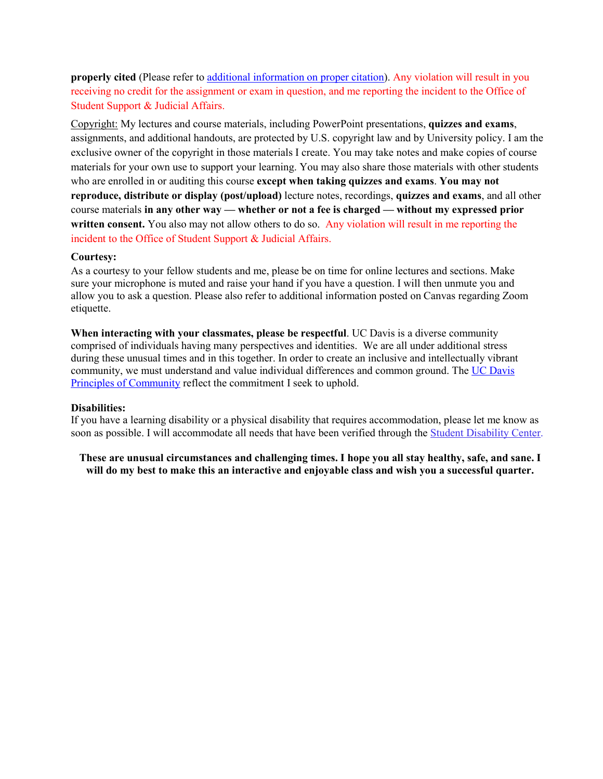**properly cited** (Please refer to **additional information** on proper citation). Any violation will result in you receiving no credit for the assignment or exam in question, and me reporting the incident to the Office of Student Support & Judicial Affairs.

Copyright: My lectures and course materials, including PowerPoint presentations, **quizzes and exams**, assignments, and additional handouts, are protected by U.S. copyright law and by University policy. I am the exclusive owner of the copyright in those materials I create. You may take notes and make copies of course materials for your own use to support your learning. You may also share those materials with other students who are enrolled in or auditing this course **except when taking quizzes and exams**. **You may not reproduce, distribute or display (post/upload)** lecture notes, recordings, **quizzes and exams**, and all other course materials **in any other way — whether or not a fee is charged — without my expressed prior written consent.** You also may not allow others to do so. Any violation will result in me reporting the incident to the Office of Student Support & Judicial Affairs.

# **Courtesy:**

As a courtesy to your fellow students and me, please be on time for online lectures and sections. Make sure your microphone is muted and raise your hand if you have a question. I will then unmute you and allow you to ask a question. Please also refer to additional information posted on Canvas regarding Zoom etiquette.

**When interacting with your classmates, please be respectful**. UC Davis is a diverse community comprised of individuals having many perspectives and identities. We are all under additional stress during these unusual times and in this together. In order to create an inclusive and intellectually vibrant community, we must understand and value individual differences and common ground. The [UC Davis](https://diversity.ucdavis.edu/)  [Principles of Community](https://diversity.ucdavis.edu/) reflect the commitment I seek to uphold.

# **Disabilities:**

If you have a learning disability or a physical disability that requires accommodation, please let me know as soon as possible. I will accommodate all needs that have been verified through the [Student Disability Center.](https://sdc.ucdavis.edu/)

**These are unusual circumstances and challenging times. I hope you all stay healthy, safe, and sane. I will do my best to make this an interactive and enjoyable class and wish you a successful quarter.**